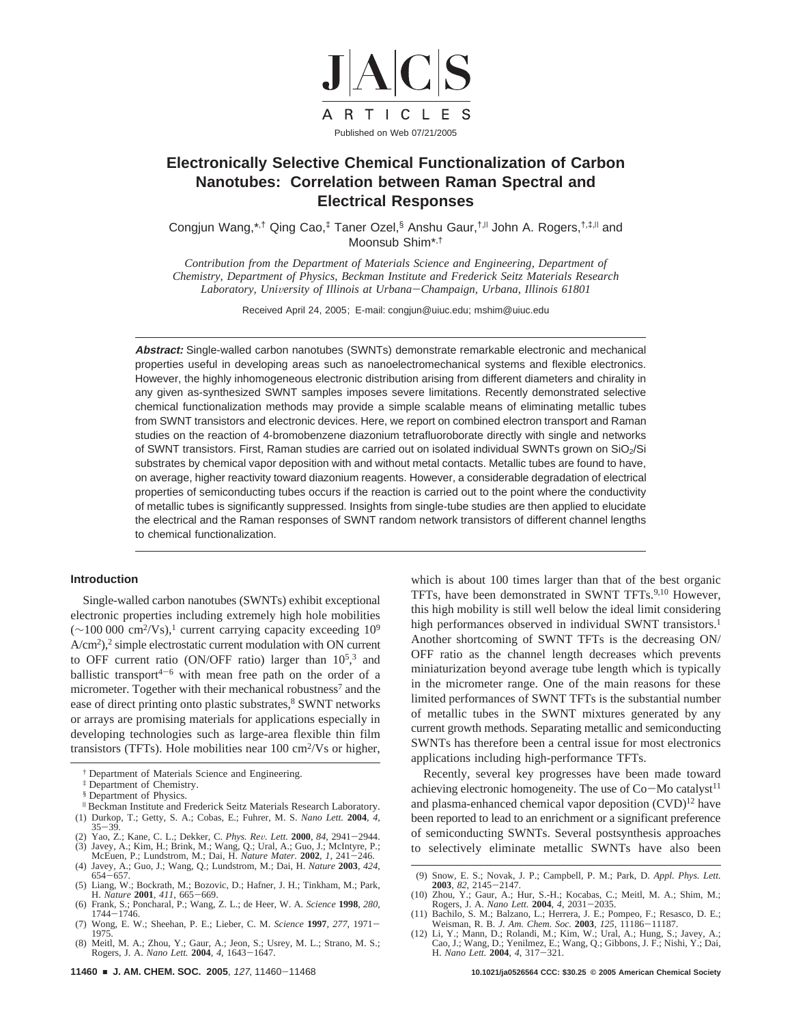

# **Electronically Selective Chemical Functionalization of Carbon Nanotubes: Correlation between Raman Spectral and Electrical Responses**

Congjun Wang,\*,† Qing Cao,‡ Taner Ozel,§ Anshu Gaur, <sup>†,||</sup> John A. Rogers, <sup>†, ‡, ||</sup> and Moonsub Shim\*,†

*Contribution from the Department of Materials Science and Engineering, Department of Chemistry, Department of Physics, Beckman Institute and Frederick Seitz Materials Research Laboratory, Uni*V*ersity of Illinois at Urbana*-*Champaign, Urbana, Illinois 61801*

Received April 24, 2005; E-mail: congjun@uiuc.edu; mshim@uiuc.edu

**Abstract:** Single-walled carbon nanotubes (SWNTs) demonstrate remarkable electronic and mechanical properties useful in developing areas such as nanoelectromechanical systems and flexible electronics. However, the highly inhomogeneous electronic distribution arising from different diameters and chirality in any given as-synthesized SWNT samples imposes severe limitations. Recently demonstrated selective chemical functionalization methods may provide a simple scalable means of eliminating metallic tubes from SWNT transistors and electronic devices. Here, we report on combined electron transport and Raman studies on the reaction of 4-bromobenzene diazonium tetrafluoroborate directly with single and networks of SWNT transistors. First, Raman studies are carried out on isolated individual SWNTs grown on SiO<sub>2</sub>/Si substrates by chemical vapor deposition with and without metal contacts. Metallic tubes are found to have, on average, higher reactivity toward diazonium reagents. However, a considerable degradation of electrical properties of semiconducting tubes occurs if the reaction is carried out to the point where the conductivity of metallic tubes is significantly suppressed. Insights from single-tube studies are then applied to elucidate the electrical and the Raman responses of SWNT random network transistors of different channel lengths to chemical functionalization.

#### **Introduction**

Single-walled carbon nanotubes (SWNTs) exhibit exceptional electronic properties including extremely high hole mobilities  $(\sim 100\,000\,\text{cm}^2/\text{Vs})$ ,<sup>1</sup> current carrying capacity exceeding  $10^9$  $A/cm<sup>2</sup>$ ),<sup>2</sup> simple electrostatic current modulation with ON current to OFF current ratio (ON/OFF ratio) larger than  $10^5$ ,<sup>3</sup> and ballistic transport<sup>4-6</sup> with mean free path on the order of a micrometer. Together with their mechanical robustness<sup>7</sup> and the ease of direct printing onto plastic substrates,<sup>8</sup> SWNT networks or arrays are promising materials for applications especially in developing technologies such as large-area flexible thin film transistors (TFTs). Hole mobilities near 100 cm2/Vs or higher,

- 
- 35–39.<br>
(2) Yao, Z.; Kane, C. L.; Dekker, C. *Phys. Rev. Lett.* **2000**, 84, 2941–2944.<br>
(3) Javey, A.; Kim, H.; Brink, M.; Wang, Q.; Ural, A.; Guo, J.; McIntyre, P.;<br>
McEuen, P.; Lundstrom, M.; Dai, H. *Nature Mater.* **200**
- 
- (4) Javey, A.; Guo, J.; Wang, Q.; Lundstrom, M.; Dai, H. *Nature* **<sup>2003</sup>**, *<sup>424</sup>*, <sup>654</sup>-657. (5) Liang, W.; Bockrath, M.; Bozovic, D.; Hafner, J. H.; Tinkham, M.; Park, H. *Nature* **<sup>2001</sup>**, *<sup>411</sup>*, 665-669. (6) Frank, S.; Poncharal, P.; Wang, Z. L.; de Heer, W. A. *Science* **1998**, *280*,
- 
- <sup>1744</sup>-1746. (7) Wong, E. W.; Sheehan, P. E.; Lieber, C. M. *Science* **<sup>1997</sup>**, *<sup>277</sup>*, 1971- 1975.
- (8) Meitl, M. A.; Zhou, Y.; Gaur, A.; Jeon, S.; Usrey, M. L.; Strano, M. S.; Rogers, J. A. *Nano Lett.* **<sup>2004</sup>**, *<sup>4</sup>*, 1643-1647.

which is about 100 times larger than that of the best organic TFTs, have been demonstrated in SWNT TFTs.<sup>9,10</sup> However, this high mobility is still well below the ideal limit considering high performances observed in individual SWNT transistors.<sup>1</sup> Another shortcoming of SWNT TFTs is the decreasing ON/ OFF ratio as the channel length decreases which prevents miniaturization beyond average tube length which is typically in the micrometer range. One of the main reasons for these limited performances of SWNT TFTs is the substantial number of metallic tubes in the SWNT mixtures generated by any current growth methods. Separating metallic and semiconducting SWNTs has therefore been a central issue for most electronics applications including high-performance TFTs.

Recently, several key progresses have been made toward achieving electronic homogeneity. The use of  $Co-Mo$  catalyst<sup>11</sup> and plasma-enhanced chemical vapor deposition (CVD)<sup>12</sup> have been reported to lead to an enrichment or a significant preference of semiconducting SWNTs. Several postsynthesis approaches to selectively eliminate metallic SWNTs have also been

<sup>†</sup> Department of Materials Science and Engineering.

<sup>‡</sup> Department of Chemistry.

<sup>§</sup> Department of Physics.

<sup>|</sup> Beckman Institute and Frederick Seitz Materials Research Laboratory.

<sup>(1)</sup> Durkop, T.; Getty, S. A.; Cobas, E.; Fuhrer, M. S. *Nano Lett.* **2004**, *4*,

<sup>(9)</sup> Snow, E. S.; Novak, J. P.; Campbell, P. M.; Park, D. *Appl. Phys. Lett.* **<sup>2003</sup>**, *<sup>82</sup>*, 2145-2147. (10) Zhou, Y.; Gaur, A.; Hur, S.-H.; Kocabas, C.; Meitl, M. A.; Shim, M.;

Rogers, J. A. *Nano Lett.* **<sup>2004</sup>**, *<sup>4</sup>*, 2031-2035.

<sup>(11)</sup> Bachilo, S. M.; Balzano, L.; Herrera, J. E.; Pompeo, F.; Resasco, D. E.;

Weisman, R. B. *J. Am. Chem. Soc.* **2003**, 125, 11186–11187.<br>(12) Li, Y.; Mann, D.; Rolandi, M.; Kim, W.; Ural, A.; Hung, S.; Javey, A.; Cao, J.; Wang, D.; Yenilmez, E.; Wang, Q.; Gibbons, J. F.; Nishi, Y.; Dai, H. *Nano L*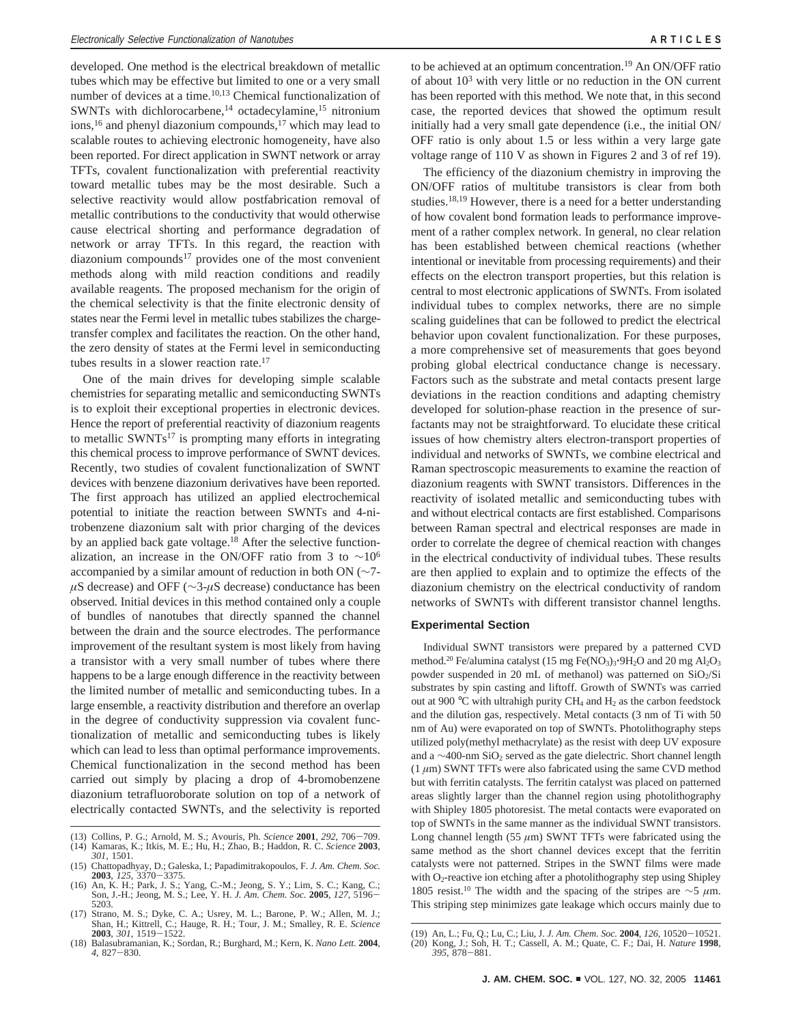developed. One method is the electrical breakdown of metallic tubes which may be effective but limited to one or a very small number of devices at a time.<sup>10,13</sup> Chemical functionalization of SWNTs with dichlorocarbene,<sup>14</sup> octadecylamine,<sup>15</sup> nitronium ions,16 and phenyl diazonium compounds,17 which may lead to scalable routes to achieving electronic homogeneity, have also been reported. For direct application in SWNT network or array TFTs, covalent functionalization with preferential reactivity toward metallic tubes may be the most desirable. Such a selective reactivity would allow postfabrication removal of metallic contributions to the conductivity that would otherwise cause electrical shorting and performance degradation of network or array TFTs. In this regard, the reaction with diazonium compounds17 provides one of the most convenient methods along with mild reaction conditions and readily available reagents. The proposed mechanism for the origin of the chemical selectivity is that the finite electronic density of states near the Fermi level in metallic tubes stabilizes the chargetransfer complex and facilitates the reaction. On the other hand, the zero density of states at the Fermi level in semiconducting tubes results in a slower reaction rate.<sup>17</sup>

One of the main drives for developing simple scalable chemistries for separating metallic and semiconducting SWNTs is to exploit their exceptional properties in electronic devices. Hence the report of preferential reactivity of diazonium reagents to metallic SWNTs<sup>17</sup> is prompting many efforts in integrating this chemical process to improve performance of SWNT devices. Recently, two studies of covalent functionalization of SWNT devices with benzene diazonium derivatives have been reported. The first approach has utilized an applied electrochemical potential to initiate the reaction between SWNTs and 4-nitrobenzene diazonium salt with prior charging of the devices by an applied back gate voltage.<sup>18</sup> After the selective functionalization, an increase in the ON/OFF ratio from 3 to  $\sim$ 10<sup>6</sup> accompanied by a similar amount of reduction in both ON (∼7 *µ*S decrease) and OFF (∼3-*µ*S decrease) conductance has been observed. Initial devices in this method contained only a couple of bundles of nanotubes that directly spanned the channel between the drain and the source electrodes. The performance improvement of the resultant system is most likely from having a transistor with a very small number of tubes where there happens to be a large enough difference in the reactivity between the limited number of metallic and semiconducting tubes. In a large ensemble, a reactivity distribution and therefore an overlap in the degree of conductivity suppression via covalent functionalization of metallic and semiconducting tubes is likely which can lead to less than optimal performance improvements. Chemical functionalization in the second method has been carried out simply by placing a drop of 4-bromobenzene diazonium tetrafluoroborate solution on top of a network of electrically contacted SWNTs, and the selectivity is reported

to be achieved at an optimum concentration.19 An ON/OFF ratio of about 103 with very little or no reduction in the ON current has been reported with this method. We note that, in this second case, the reported devices that showed the optimum result initially had a very small gate dependence (i.e., the initial ON/ OFF ratio is only about 1.5 or less within a very large gate voltage range of 110 V as shown in Figures 2 and 3 of ref 19).

The efficiency of the diazonium chemistry in improving the ON/OFF ratios of multitube transistors is clear from both studies.18,19 However, there is a need for a better understanding of how covalent bond formation leads to performance improvement of a rather complex network. In general, no clear relation has been established between chemical reactions (whether intentional or inevitable from processing requirements) and their effects on the electron transport properties, but this relation is central to most electronic applications of SWNTs. From isolated individual tubes to complex networks, there are no simple scaling guidelines that can be followed to predict the electrical behavior upon covalent functionalization. For these purposes, a more comprehensive set of measurements that goes beyond probing global electrical conductance change is necessary. Factors such as the substrate and metal contacts present large deviations in the reaction conditions and adapting chemistry developed for solution-phase reaction in the presence of surfactants may not be straightforward. To elucidate these critical issues of how chemistry alters electron-transport properties of individual and networks of SWNTs, we combine electrical and Raman spectroscopic measurements to examine the reaction of diazonium reagents with SWNT transistors. Differences in the reactivity of isolated metallic and semiconducting tubes with and without electrical contacts are first established. Comparisons between Raman spectral and electrical responses are made in order to correlate the degree of chemical reaction with changes in the electrical conductivity of individual tubes. These results are then applied to explain and to optimize the effects of the diazonium chemistry on the electrical conductivity of random networks of SWNTs with different transistor channel lengths.

#### **Experimental Section**

Individual SWNT transistors were prepared by a patterned CVD method.<sup>20</sup> Fe/alumina catalyst (15 mg Fe(NO<sub>3</sub>)<sub>3</sub> $\cdot$ 9H<sub>2</sub>O and 20 mg Al<sub>2</sub>O<sub>3</sub> powder suspended in 20 mL of methanol) was patterned on  $SiO<sub>2</sub>/Si$ substrates by spin casting and liftoff. Growth of SWNTs was carried out at 900 °C with ultrahigh purity CH<sub>4</sub> and H<sub>2</sub> as the carbon feedstock and the dilution gas, respectively. Metal contacts (3 nm of Ti with 50 nm of Au) were evaporated on top of SWNTs. Photolithography steps utilized poly(methyl methacrylate) as the resist with deep UV exposure and a ∼400-nm SiO2 served as the gate dielectric. Short channel length (1 *µ*m) SWNT TFTs were also fabricated using the same CVD method but with ferritin catalysts. The ferritin catalyst was placed on patterned areas slightly larger than the channel region using photolithography with Shipley 1805 photoresist. The metal contacts were evaporated on top of SWNTs in the same manner as the individual SWNT transistors. Long channel length (55  $\mu$ m) SWNT TFTs were fabricated using the same method as the short channel devices except that the ferritin catalysts were not patterned. Stripes in the SWNT films were made with  $O_2$ -reactive ion etching after a photolithography step using Shipley 1805 resist.10 The width and the spacing of the stripes are ∼5 *µ*m. This striping step minimizes gate leakage which occurs mainly due to

<sup>(13)</sup> Collins, P. G.; Arnold, M. S.; Avouris, Ph. *Science* **<sup>2001</sup>**, *<sup>292</sup>*, 706-709. (14) Kamaras, K.; Itkis, M. E.; Hu, H.; Zhao, B.; Haddon, R. C. *Science* **2003**, *301*, 1501.

<sup>(15)</sup> Chattopadhyay, D.; Galeska, I.; Papadimitrakopoulos, F. J. Am. Chem. Soc.<br>2003, 125, 3370-3375.<br>(16) An, K. H.; Park, J. S.; Yang, C.-M.; Jeong, S. Y.; Lim, S. C.; Kang, C.;<br>Son, J.-H.; Jeong, M. S.; Lee, Y. H. J. Am. 5203.

<sup>(17)</sup> Strano, M. S.; Dyke, C. A.; Usrey, M. L.; Barone, P. W.; Allen, M. J.; Shan, H.; Kittrell, C.; Hauge, R. H.; Tour, J. M.; Smalley, R. E. *Science* **<sup>2003</sup>**, *<sup>301</sup>*, 1519-1522. (18) Balasubramanian, K.; Sordan, R.; Burghard, M.; Kern, K. *Nano Lett.* **2004**,

<sup>(19)</sup> An, L.; Fu, Q.; Lu, C.; Liu, J. *J. Am. Chem. Soc.* **<sup>2004</sup>**, *<sup>126</sup>*, 10520-10521. (20) Kong, J.; Soh, H. T.; Cassell, A. M.; Quate, C. F.; Dai, H. *Nature* **<sup>1998</sup>**, *<sup>395</sup>*, 878-881.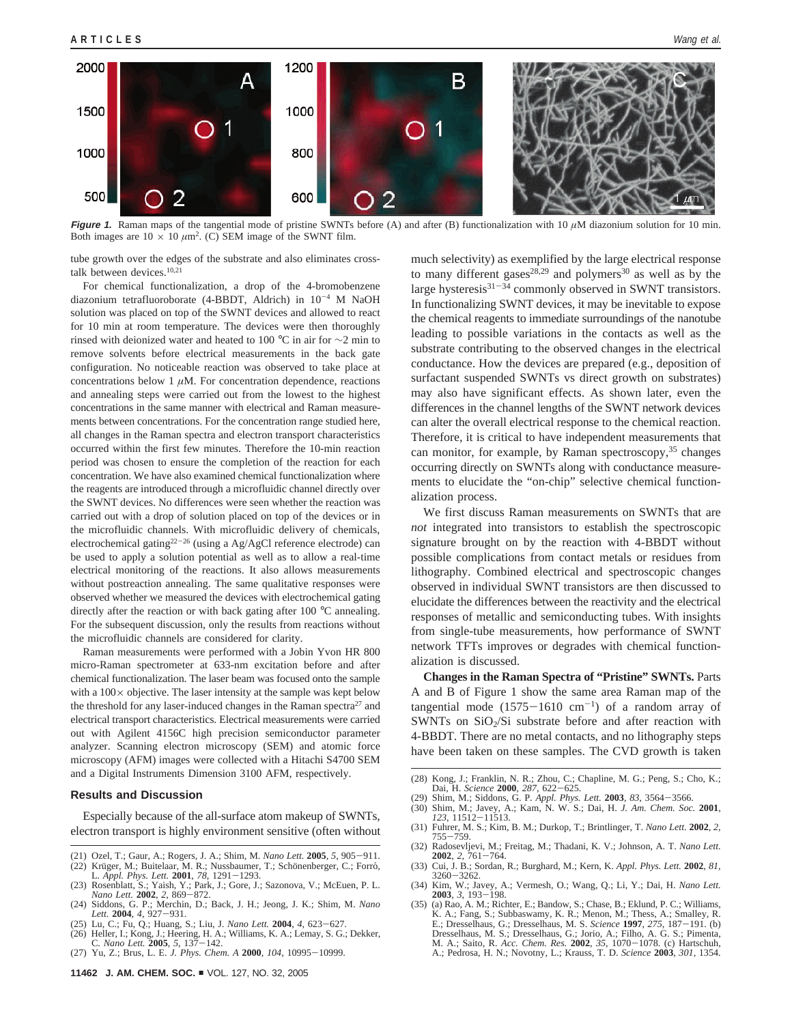

**Figure 1.** Raman maps of the tangential mode of pristine SWNTs before (A) and after (B) functionalization with  $10 \mu M$  diazonium solution for  $10 \text{ min}$ . Both images are  $10 \times 10 \ \mu \text{m}^2$ . (C) SEM image of the SWNT film.

tube growth over the edges of the substrate and also eliminates crosstalk between devices.10,21

For chemical functionalization, a drop of the 4-bromobenzene diazonium tetrafluoroborate (4-BBDT, Aldrich) in 10-<sup>4</sup> M NaOH solution was placed on top of the SWNT devices and allowed to react for 10 min at room temperature. The devices were then thoroughly rinsed with deionized water and heated to 100 °C in air for ∼2 min to remove solvents before electrical measurements in the back gate configuration. No noticeable reaction was observed to take place at concentrations below 1  $\mu$ M. For concentration dependence, reactions and annealing steps were carried out from the lowest to the highest concentrations in the same manner with electrical and Raman measurements between concentrations. For the concentration range studied here, all changes in the Raman spectra and electron transport characteristics occurred within the first few minutes. Therefore the 10-min reaction period was chosen to ensure the completion of the reaction for each concentration. We have also examined chemical functionalization where the reagents are introduced through a microfluidic channel directly over the SWNT devices. No differences were seen whether the reaction was carried out with a drop of solution placed on top of the devices or in the microfluidic channels. With microfluidic delivery of chemicals, electrochemical gating22-<sup>26</sup> (using a Ag/AgCl reference electrode) can be used to apply a solution potential as well as to allow a real-time electrical monitoring of the reactions. It also allows measurements without postreaction annealing. The same qualitative responses were observed whether we measured the devices with electrochemical gating directly after the reaction or with back gating after 100 °C annealing. For the subsequent discussion, only the results from reactions without the microfluidic channels are considered for clarity.

Raman measurements were performed with a Jobin Yvon HR 800 micro-Raman spectrometer at 633-nm excitation before and after chemical functionalization. The laser beam was focused onto the sample with a  $100 \times$  objective. The laser intensity at the sample was kept below the threshold for any laser-induced changes in the Raman spectra<sup>27</sup> and electrical transport characteristics. Electrical measurements were carried out with Agilent 4156C high precision semiconductor parameter analyzer. Scanning electron microscopy (SEM) and atomic force microscopy (AFM) images were collected with a Hitachi S4700 SEM and a Digital Instruments Dimension 3100 AFM, respectively.

### **Results and Discussion**

Especially because of the all-surface atom makeup of SWNTs, electron transport is highly environment sensitive (often without

- (21) Ozel, T.; Gaur, A.; Rogers, J. A.; Shim, M. *Nano Lett.* **<sup>2005</sup>**, *<sup>5</sup>*, 905-911.
- (22) Krüger, M.; Buitelaar, M. R.; Nussbaumer, T.; Schönenberger, C.; Forró,
- L. *Appl. Phys. Lett.* **<sup>2001</sup>**, *<sup>78</sup>*, 1291-1293. (23) Rosenblatt, S.; Yaish, Y.; Park, J.; Gore, J.; Sazonova, V.; McEuen, P. L.
- *Nano Lett.* **<sup>2002</sup>**, *<sup>2</sup>*, 869-872. (24) Siddons, G. P.; Merchin, D.; Back, J. H.; Jeong, J. K.; Shim, M. *Nano Lett.* **2004**, *4*, 927–931. *(25)* Lu, *C*.; Fu, *Q*.; Huang, *S.*; Liu, *J. Nano Lett.* **2004**, *4*, 623–627.
- 
- (25) Lu, C.; Fu, Q.; Huang, S.; Liu, J. *Nano Lett.* **2004**, *4*, 623–627.<br>(26) Heller, I.; Kong, J.; Heering, H. A.; Williams, K. A.; Lemay, S. G.; Dekker, C. *Nano Lett.* **2005**, 5, 137–142.<br>(27) Yu, Z.; Brus, L. E. *J.*
- 

much selectivity) as exemplified by the large electrical response to many different gases<sup>28,29</sup> and polymers<sup>30</sup> as well as by the large hysteresis $31-34$  commonly observed in SWNT transistors. In functionalizing SWNT devices, it may be inevitable to expose the chemical reagents to immediate surroundings of the nanotube leading to possible variations in the contacts as well as the substrate contributing to the observed changes in the electrical conductance. How the devices are prepared (e.g., deposition of surfactant suspended SWNTs vs direct growth on substrates) may also have significant effects. As shown later, even the differences in the channel lengths of the SWNT network devices can alter the overall electrical response to the chemical reaction. Therefore, it is critical to have independent measurements that can monitor, for example, by Raman spectroscopy,<sup>35</sup> changes occurring directly on SWNTs along with conductance measurements to elucidate the "on-chip" selective chemical functionalization process.

We first discuss Raman measurements on SWNTs that are *not* integrated into transistors to establish the spectroscopic signature brought on by the reaction with 4-BBDT without possible complications from contact metals or residues from lithography. Combined electrical and spectroscopic changes observed in individual SWNT transistors are then discussed to elucidate the differences between the reactivity and the electrical responses of metallic and semiconducting tubes. With insights from single-tube measurements, how performance of SWNT network TFTs improves or degrades with chemical functionalization is discussed.

**Changes in the Raman Spectra of "Pristine" SWNTs.** Parts A and B of Figure 1 show the same area Raman map of the tangential mode  $(1575-1610 \text{ cm}^{-1})$  of a random array of SWNTs on  $SiO<sub>2</sub>/Si$  substrate before and after reaction with 4-BBDT. There are no metal contacts, and no lithography steps have been taken on these samples. The CVD growth is taken

- (28) Kong, J.; Franklin, N. R.; Zhou, C.; Chapline, M. G.; Peng, S.; Cho, K.; Dai, H. Science 2000, 287, 622–625.<br>(29) Shim, M.; Siddons, G. P. Appl. Phys. Lett. 2003, 83, 3564–3566.<br>(30) Shim, M.; Javey, A.; Kam, N. W. S.; Dai, H. J. Am. Chem. Soc. 2001,
- 
- (31) Fuhrer, M. S.; Kim, B. M.; Durkop, T.; Brintlinger, T. Nano Lett. 2002, 2,
- (31) Fuhrer, M. S.; Kim, B. M.; Durkop, T.; Brintlinger, T. *Nano Lett.* **<sup>2002</sup>**, *<sup>2</sup>*, <sup>755</sup>-759. (32) Radosevljevi, M.; Freitag, M.; Thadani, K. V.; Johnson, A. T. *Nano Lett.*
- **<sup>2002</sup>**, *<sup>2</sup>*, 761-764. (33) Cui, J. B.; Sordan, R.; Burghard, M.; Kern, K. *Appl. Phys. Lett.* **2002**, *81*,
- <sup>3260</sup>-3262. (34) Kim, W.; Javey, A.; Vermesh, O.; Wang, Q.; Li, Y.; Dai, H. *Nano Lett.*
- **<sup>2003</sup>**, *<sup>3</sup>*, 193-198. (35) (a) Rao, A. M.; Richter, E.; Bandow, S.; Chase, B.; Eklund, P. C.; Williams, K. A.; Fang, S.; Subbaswamy, K. R.; Menon, M.; Thess, A.; Smalley, R. E.; Dresselhaus, G.; Dresselhaus, M. S. *Science* **<sup>1997</sup>**, *<sup>275</sup>*, 187-191. (b) Dresselhaus, M. S.; Dresselhaus, G.; Jorio, A.; Filho, A. G. S.; Pimenta, M. A.; Saito, R. Acc. Chem. Res. 2002, 35, 1070–1078. (c) Hartschuh, A.; Pedrosa, H. N.; Novotny, L.; Krauss, T. D. Science 2003, 301, 1354.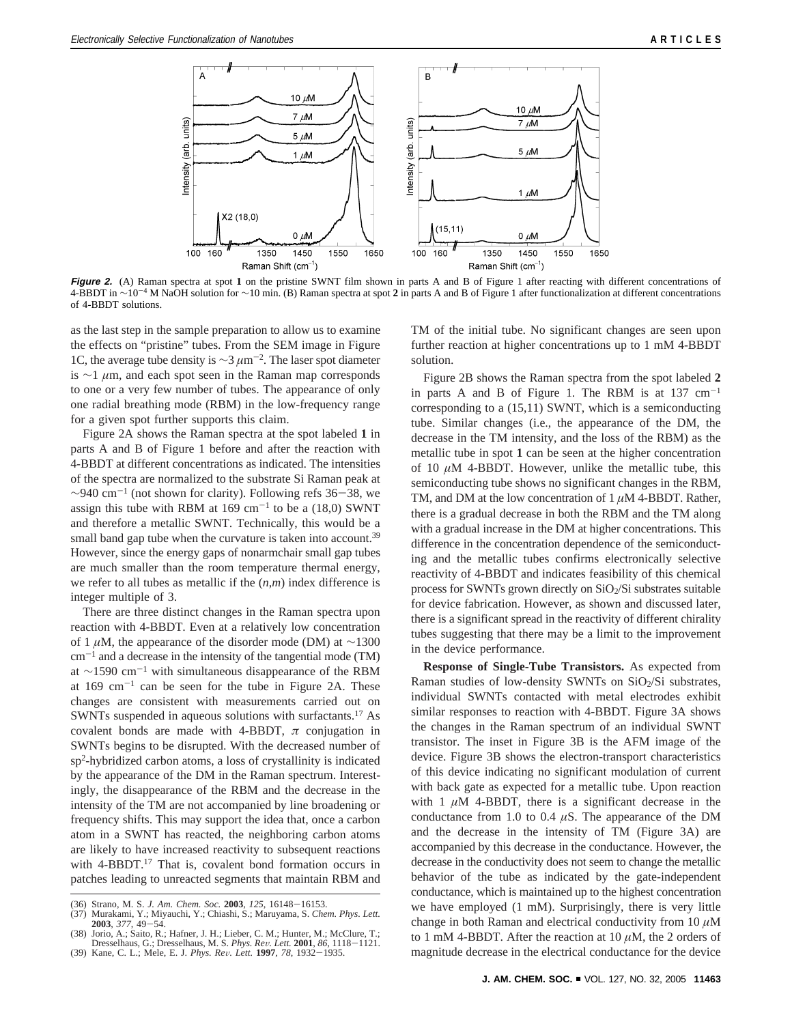

**Figure 2.** (A) Raman spectra at spot **1** on the pristine SWNT film shown in parts A and B of Figure 1 after reacting with different concentrations of 4-BBDT in ∼10-<sup>4</sup> M NaOH solution for ∼10 min. (B) Raman spectra at spot **2** in parts A and B of Figure 1 after functionalization at different concentrations of 4-BBDT solutions.

as the last step in the sample preparation to allow us to examine the effects on "pristine" tubes. From the SEM image in Figure 1C, the average tube density is ∼3 *µ*m-2. The laser spot diameter is ∼1 *µ*m, and each spot seen in the Raman map corresponds to one or a very few number of tubes. The appearance of only one radial breathing mode (RBM) in the low-frequency range for a given spot further supports this claim.

Figure 2A shows the Raman spectra at the spot labeled **1** in parts A and B of Figure 1 before and after the reaction with 4-BBDT at different concentrations as indicated. The intensities of the spectra are normalized to the substrate Si Raman peak at  $\sim$ 940 cm<sup>-1</sup> (not shown for clarity). Following refs 36-38, we assign this tube with RBM at  $169 \text{ cm}^{-1}$  to be a  $(18,0)$  SWNT and therefore a metallic SWNT. Technically, this would be a small band gap tube when the curvature is taken into account.<sup>39</sup> However, since the energy gaps of nonarmchair small gap tubes are much smaller than the room temperature thermal energy, we refer to all tubes as metallic if the  $(n,m)$  index difference is integer multiple of 3.

There are three distinct changes in the Raman spectra upon reaction with 4-BBDT. Even at a relatively low concentration of 1 *µ*M, the appearance of the disorder mode (DM) at ∼1300  $cm^{-1}$  and a decrease in the intensity of the tangential mode (TM) at ∼1590 cm-<sup>1</sup> with simultaneous disappearance of the RBM at  $169 \text{ cm}^{-1}$  can be seen for the tube in Figure 2A. These changes are consistent with measurements carried out on SWNTs suspended in aqueous solutions with surfactants.17 As covalent bonds are made with 4-BBDT,  $\pi$  conjugation in SWNTs begins to be disrupted. With the decreased number of sp<sup>2</sup>-hybridized carbon atoms, a loss of crystallinity is indicated by the appearance of the DM in the Raman spectrum. Interestingly, the disappearance of the RBM and the decrease in the intensity of the TM are not accompanied by line broadening or frequency shifts. This may support the idea that, once a carbon atom in a SWNT has reacted, the neighboring carbon atoms are likely to have increased reactivity to subsequent reactions with 4-BBDT.<sup>17</sup> That is, covalent bond formation occurs in patches leading to unreacted segments that maintain RBM and

TM of the initial tube. No significant changes are seen upon further reaction at higher concentrations up to 1 mM 4-BBDT solution.

Figure 2B shows the Raman spectra from the spot labeled **2** in parts A and B of Figure 1. The RBM is at  $137 \text{ cm}^{-1}$ corresponding to a (15,11) SWNT, which is a semiconducting tube. Similar changes (i.e., the appearance of the DM, the decrease in the TM intensity, and the loss of the RBM) as the metallic tube in spot **1** can be seen at the higher concentration of 10 *µ*M 4-BBDT. However, unlike the metallic tube, this semiconducting tube shows no significant changes in the RBM, TM, and DM at the low concentration of 1 *µ*M 4-BBDT. Rather, there is a gradual decrease in both the RBM and the TM along with a gradual increase in the DM at higher concentrations. This difference in the concentration dependence of the semiconducting and the metallic tubes confirms electronically selective reactivity of 4-BBDT and indicates feasibility of this chemical process for SWNTs grown directly on  $SiO<sub>2</sub>/Si$  substrates suitable for device fabrication. However, as shown and discussed later, there is a significant spread in the reactivity of different chirality tubes suggesting that there may be a limit to the improvement in the device performance.

**Response of Single-Tube Transistors.** As expected from Raman studies of low-density SWNTs on SiO<sub>2</sub>/Si substrates, individual SWNTs contacted with metal electrodes exhibit similar responses to reaction with 4-BBDT. Figure 3A shows the changes in the Raman spectrum of an individual SWNT transistor. The inset in Figure 3B is the AFM image of the device. Figure 3B shows the electron-transport characteristics of this device indicating no significant modulation of current with back gate as expected for a metallic tube. Upon reaction with  $1 \mu M$  4-BBDT, there is a significant decrease in the conductance from 1.0 to 0.4 *µ*S. The appearance of the DM and the decrease in the intensity of TM (Figure 3A) are accompanied by this decrease in the conductance. However, the decrease in the conductivity does not seem to change the metallic behavior of the tube as indicated by the gate-independent conductance, which is maintained up to the highest concentration we have employed (1 mM). Surprisingly, there is very little change in both Raman and electrical conductivity from 10 *µ*M to 1 mM 4-BBDT. After the reaction at  $10 \mu$ M, the 2 orders of magnitude decrease in the electrical conductance for the device

<sup>(36)</sup> Strano, M. S. *J. Am. Chem. Soc.* **<sup>2003</sup>**, *<sup>125</sup>*, 16148-16153.

<sup>(37)</sup> Murakami, Y.; Miyauchi, Y.; Chiashi, S.; Maruyama, S. *Chem. Phys. Lett.*

**<sup>2003</sup>**, *<sup>377</sup>*, 49-54. (38) Jorio, A.; Saito, R.; Hafner, J. H.; Lieber, C. M.; Hunter, M.; McClure, T.;

Dresselhaus, G.; Dresselhaus, M. S. *Phys. Re*V*. Lett.* **<sup>2001</sup>**, *<sup>86</sup>*, 1118-1121. (39) Kane, C. L.; Mele, E. J. *Phys. Re*V*. Lett.* **<sup>1997</sup>**, *<sup>78</sup>*, 1932-1935.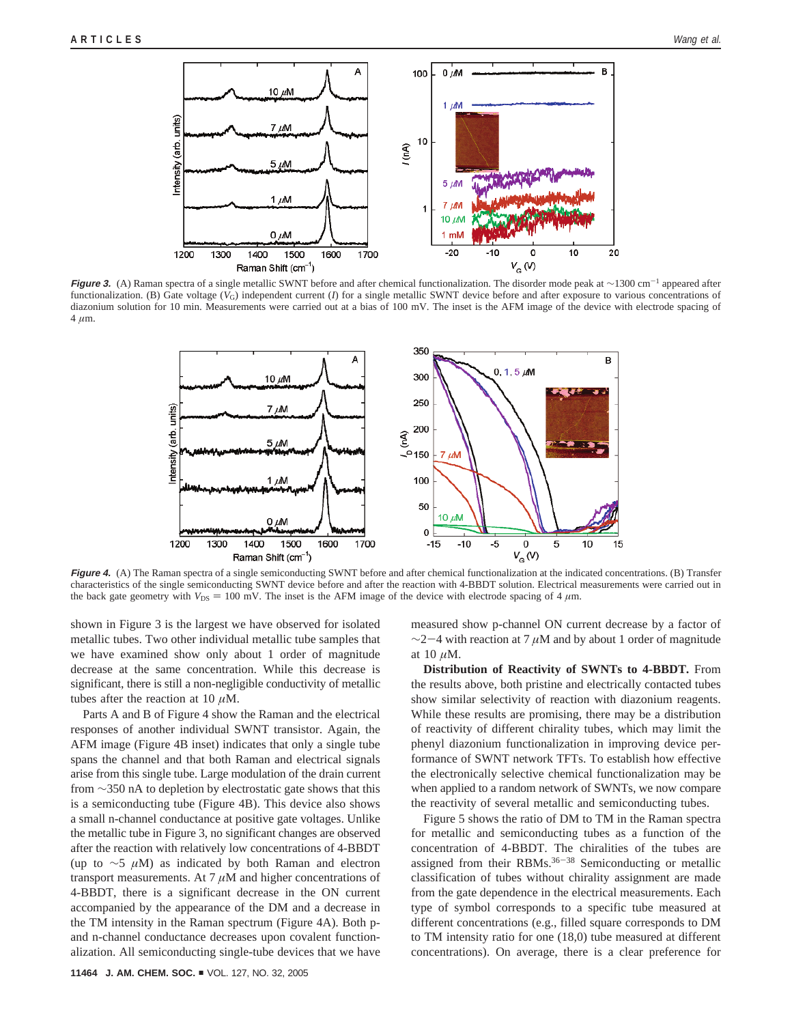

**Figure 3.** (A) Raman spectra of a single metallic SWNT before and after chemical functionalization. The disorder mode peak at ∼1300 cm<sup>-1</sup> appeared after functionalization. (B) Gate voltage ( $V_G$ ) independent current (*I*) for a single metallic SWNT device before and after exposure to various concentrations of diazonium solution for 10 min. Measurements were carried out at a bias of 100 mV. The inset is the AFM image of the device with electrode spacing of 4 *µ*m.



**Figure 4.** (A) The Raman spectra of a single semiconducting SWNT before and after chemical functionalization at the indicated concentrations. (B) Transfer characteristics of the single semiconducting SWNT device before and after the reaction with 4-BBDT solution. Electrical measurements were carried out in the back gate geometry with  $V_{DS} = 100$  mV. The inset is the AFM image of the device with electrode spacing of 4  $\mu$ m.

shown in Figure 3 is the largest we have observed for isolated metallic tubes. Two other individual metallic tube samples that we have examined show only about 1 order of magnitude decrease at the same concentration. While this decrease is significant, there is still a non-negligible conductivity of metallic tubes after the reaction at 10 *µ*M.

Parts A and B of Figure 4 show the Raman and the electrical responses of another individual SWNT transistor. Again, the AFM image (Figure 4B inset) indicates that only a single tube spans the channel and that both Raman and electrical signals arise from this single tube. Large modulation of the drain current from ∼350 nA to depletion by electrostatic gate shows that this is a semiconducting tube (Figure 4B). This device also shows a small n-channel conductance at positive gate voltages. Unlike the metallic tube in Figure 3, no significant changes are observed after the reaction with relatively low concentrations of 4-BBDT (up to ∼5 *µ*M) as indicated by both Raman and electron transport measurements. At 7 *µ*M and higher concentrations of 4-BBDT, there is a significant decrease in the ON current accompanied by the appearance of the DM and a decrease in the TM intensity in the Raman spectrum (Figure 4A). Both pand n-channel conductance decreases upon covalent functionalization. All semiconducting single-tube devices that we have measured show p-channel ON current decrease by a factor of <sup>∼</sup>2-4 with reaction at 7 *<sup>µ</sup>*M and by about 1 order of magnitude at  $10 \mu M$ .

**Distribution of Reactivity of SWNTs to 4-BBDT.** From the results above, both pristine and electrically contacted tubes show similar selectivity of reaction with diazonium reagents. While these results are promising, there may be a distribution of reactivity of different chirality tubes, which may limit the phenyl diazonium functionalization in improving device performance of SWNT network TFTs. To establish how effective the electronically selective chemical functionalization may be when applied to a random network of SWNTs, we now compare the reactivity of several metallic and semiconducting tubes.

Figure 5 shows the ratio of DM to TM in the Raman spectra for metallic and semiconducting tubes as a function of the concentration of 4-BBDT. The chiralities of the tubes are assigned from their RBMs. $36-38$  Semiconducting or metallic classification of tubes without chirality assignment are made from the gate dependence in the electrical measurements. Each type of symbol corresponds to a specific tube measured at different concentrations (e.g., filled square corresponds to DM to TM intensity ratio for one (18,0) tube measured at different concentrations). On average, there is a clear preference for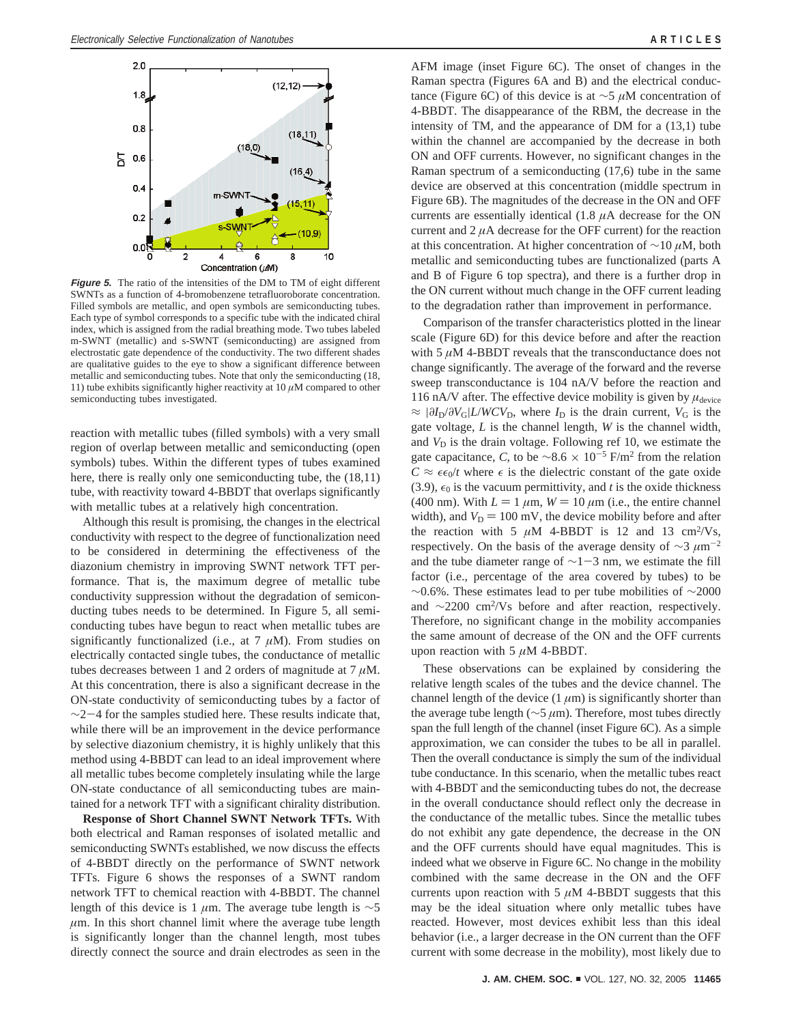

**Figure 5.** The ratio of the intensities of the DM to TM of eight different SWNTs as a function of 4-bromobenzene tetrafluoroborate concentration. Filled symbols are metallic, and open symbols are semiconducting tubes. Each type of symbol corresponds to a specific tube with the indicated chiral index, which is assigned from the radial breathing mode. Two tubes labeled m-SWNT (metallic) and s-SWNT (semiconducting) are assigned from electrostatic gate dependence of the conductivity. The two different shades are qualitative guides to the eye to show a significant difference between metallic and semiconducting tubes. Note that only the semiconducting (18, 11) tube exhibits significantly higher reactivity at  $10 \mu$ M compared to other semiconducting tubes investigated.

reaction with metallic tubes (filled symbols) with a very small region of overlap between metallic and semiconducting (open symbols) tubes. Within the different types of tubes examined here, there is really only one semiconducting tube, the  $(18,11)$ tube, with reactivity toward 4-BBDT that overlaps significantly with metallic tubes at a relatively high concentration.

Although this result is promising, the changes in the electrical conductivity with respect to the degree of functionalization need to be considered in determining the effectiveness of the diazonium chemistry in improving SWNT network TFT performance. That is, the maximum degree of metallic tube conductivity suppression without the degradation of semiconducting tubes needs to be determined. In Figure 5, all semiconducting tubes have begun to react when metallic tubes are significantly functionalized (i.e., at  $7 \mu M$ ). From studies on electrically contacted single tubes, the conductance of metallic tubes decreases between 1 and 2 orders of magnitude at 7 *µ*M. At this concentration, there is also a significant decrease in the ON-state conductivity of semiconducting tubes by a factor of  $\sim$ 2 $-4$  for the samples studied here. These results indicate that, while there will be an improvement in the device performance by selective diazonium chemistry, it is highly unlikely that this method using 4-BBDT can lead to an ideal improvement where all metallic tubes become completely insulating while the large ON-state conductance of all semiconducting tubes are maintained for a network TFT with a significant chirality distribution.

**Response of Short Channel SWNT Network TFTs.** With both electrical and Raman responses of isolated metallic and semiconducting SWNTs established, we now discuss the effects of 4-BBDT directly on the performance of SWNT network TFTs. Figure 6 shows the responses of a SWNT random network TFT to chemical reaction with 4-BBDT. The channel length of this device is 1 *µ*m. The average tube length is ∼5  $\mu$ m. In this short channel limit where the average tube length is significantly longer than the channel length, most tubes directly connect the source and drain electrodes as seen in the

AFM image (inset Figure 6C). The onset of changes in the Raman spectra (Figures 6A and B) and the electrical conductance (Figure 6C) of this device is at ∼5 *µ*M concentration of 4-BBDT. The disappearance of the RBM, the decrease in the intensity of TM, and the appearance of DM for a (13,1) tube within the channel are accompanied by the decrease in both ON and OFF currents. However, no significant changes in the Raman spectrum of a semiconducting (17,6) tube in the same device are observed at this concentration (middle spectrum in Figure 6B). The magnitudes of the decrease in the ON and OFF currents are essentially identical (1.8 *µ*A decrease for the ON current and 2 *µ*A decrease for the OFF current) for the reaction at this concentration. At higher concentration of ∼10 *µ*M, both metallic and semiconducting tubes are functionalized (parts A and B of Figure 6 top spectra), and there is a further drop in the ON current without much change in the OFF current leading to the degradation rather than improvement in performance.

Comparison of the transfer characteristics plotted in the linear scale (Figure 6D) for this device before and after the reaction with  $5 \mu$ M 4-BBDT reveals that the transconductance does not change significantly. The average of the forward and the reverse sweep transconductance is 104 nA/V before the reaction and 116 nA/V after. The effective device mobility is given by  $\mu_{\text{device}}$  $\approx |\partial I_D/\partial V_G| L/WCV_D$ , where *I*<sub>D</sub> is the drain current, *V*<sub>G</sub> is the gate voltage, *L* is the channel length, *W* is the channel width, and  $V_D$  is the drain voltage. Following ref 10, we estimate the gate capacitance, *C*, to be ~8.6 × 10<sup>-5</sup> F/m<sup>2</sup> from the relation  $C \approx \epsilon \epsilon_0 / t$  where  $\epsilon$  is the dielectric constant of the gate oxide (3.9),  $\epsilon_0$  is the vacuum permittivity, and *t* is the oxide thickness (400 nm). With  $L = 1 \mu m$ ,  $W = 10 \mu m$  (i.e., the entire channel width), and  $V_D = 100$  mV, the device mobility before and after the reaction with 5  $\mu$ M 4-BBDT is 12 and 13 cm<sup>2</sup>/Vs, respectively. On the basis of the average density of ∼3 *µ*m-<sup>2</sup> and the tube diameter range of  $\sim$ 1-3 nm, we estimate the fill factor (i.e., percentage of the area covered by tubes) to be ∼0.6%. These estimates lead to per tube mobilities of ∼2000 and ∼2200 cm2/Vs before and after reaction, respectively. Therefore, no significant change in the mobility accompanies the same amount of decrease of the ON and the OFF currents upon reaction with 5 *µ*M 4-BBDT.

These observations can be explained by considering the relative length scales of the tubes and the device channel. The channel length of the device  $(1 \mu m)$  is significantly shorter than the average tube length (∼5 *µ*m). Therefore, most tubes directly span the full length of the channel (inset Figure 6C). As a simple approximation, we can consider the tubes to be all in parallel. Then the overall conductance is simply the sum of the individual tube conductance. In this scenario, when the metallic tubes react with 4-BBDT and the semiconducting tubes do not, the decrease in the overall conductance should reflect only the decrease in the conductance of the metallic tubes. Since the metallic tubes do not exhibit any gate dependence, the decrease in the ON and the OFF currents should have equal magnitudes. This is indeed what we observe in Figure 6C. No change in the mobility combined with the same decrease in the ON and the OFF currents upon reaction with 5 *µ*M 4-BBDT suggests that this may be the ideal situation where only metallic tubes have reacted. However, most devices exhibit less than this ideal behavior (i.e., a larger decrease in the ON current than the OFF current with some decrease in the mobility), most likely due to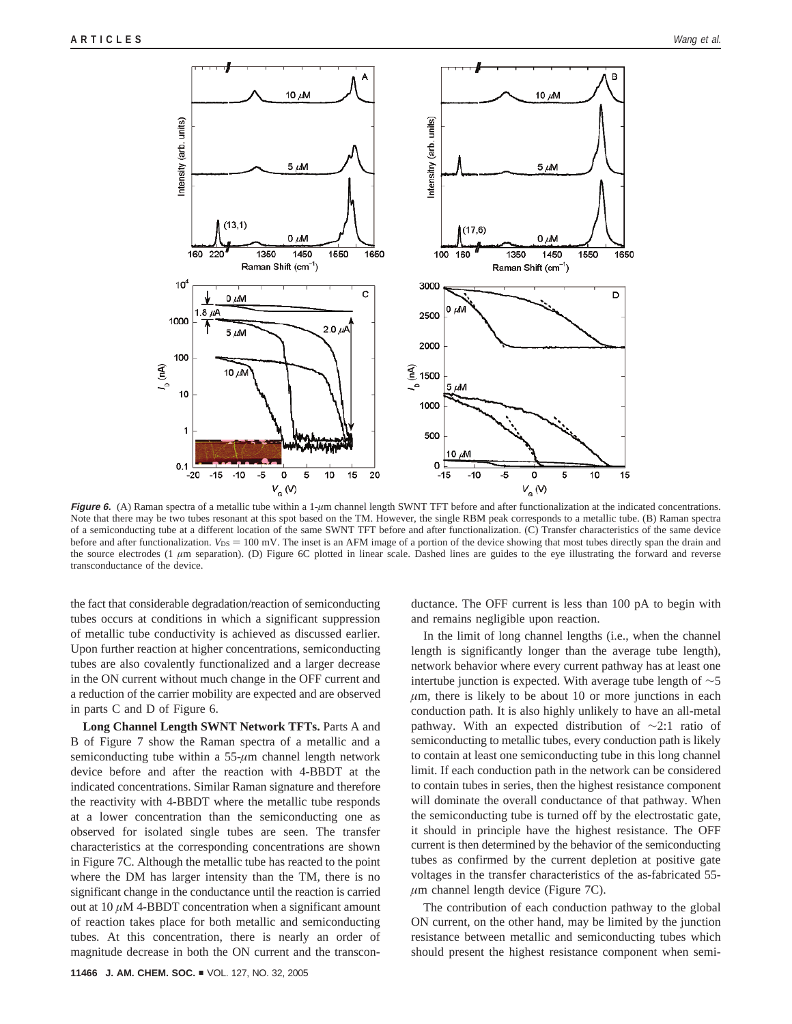

**Figure 6.** (A) Raman spectra of a metallic tube within a  $1-\mu$ m channel length SWNT TFT before and after functionalization at the indicated concentrations. Note that there may be two tubes resonant at this spot based on the TM. However, the single RBM peak corresponds to a metallic tube. (B) Raman spectra of a semiconducting tube at a different location of the same SWNT TFT before and after functionalization. (C) Transfer characteristics of the same device before and after functionalization.  $V_{DS} = 100 \text{ mV}$ . The inset is an AFM image of a portion of the device showing that most tubes directly span the drain and the source electrodes (1  $\mu$ m separation). (D) Figure 6C plotted in linear scale. Dashed lines are guides to the eye illustrating the forward and reverse transconductance of the device.

the fact that considerable degradation/reaction of semiconducting tubes occurs at conditions in which a significant suppression of metallic tube conductivity is achieved as discussed earlier. Upon further reaction at higher concentrations, semiconducting tubes are also covalently functionalized and a larger decrease in the ON current without much change in the OFF current and a reduction of the carrier mobility are expected and are observed in parts C and D of Figure 6.

**Long Channel Length SWNT Network TFTs.** Parts A and B of Figure 7 show the Raman spectra of a metallic and a semiconducting tube within a 55-*µ*m channel length network device before and after the reaction with 4-BBDT at the indicated concentrations. Similar Raman signature and therefore the reactivity with 4-BBDT where the metallic tube responds at a lower concentration than the semiconducting one as observed for isolated single tubes are seen. The transfer characteristics at the corresponding concentrations are shown in Figure 7C. Although the metallic tube has reacted to the point where the DM has larger intensity than the TM, there is no significant change in the conductance until the reaction is carried out at  $10 \mu$ M 4-BBDT concentration when a significant amount of reaction takes place for both metallic and semiconducting tubes. At this concentration, there is nearly an order of magnitude decrease in both the ON current and the transcon-

ductance. The OFF current is less than 100 pA to begin with and remains negligible upon reaction.

In the limit of long channel lengths (i.e., when the channel length is significantly longer than the average tube length), network behavior where every current pathway has at least one intertube junction is expected. With average tube length of ∼5  $\mu$ m, there is likely to be about 10 or more junctions in each conduction path. It is also highly unlikely to have an all-metal pathway. With an expected distribution of ∼2:1 ratio of semiconducting to metallic tubes, every conduction path is likely to contain at least one semiconducting tube in this long channel limit. If each conduction path in the network can be considered to contain tubes in series, then the highest resistance component will dominate the overall conductance of that pathway. When the semiconducting tube is turned off by the electrostatic gate, it should in principle have the highest resistance. The OFF current is then determined by the behavior of the semiconducting tubes as confirmed by the current depletion at positive gate voltages in the transfer characteristics of the as-fabricated 55 *µ*m channel length device (Figure 7C).

The contribution of each conduction pathway to the global ON current, on the other hand, may be limited by the junction resistance between metallic and semiconducting tubes which should present the highest resistance component when semi-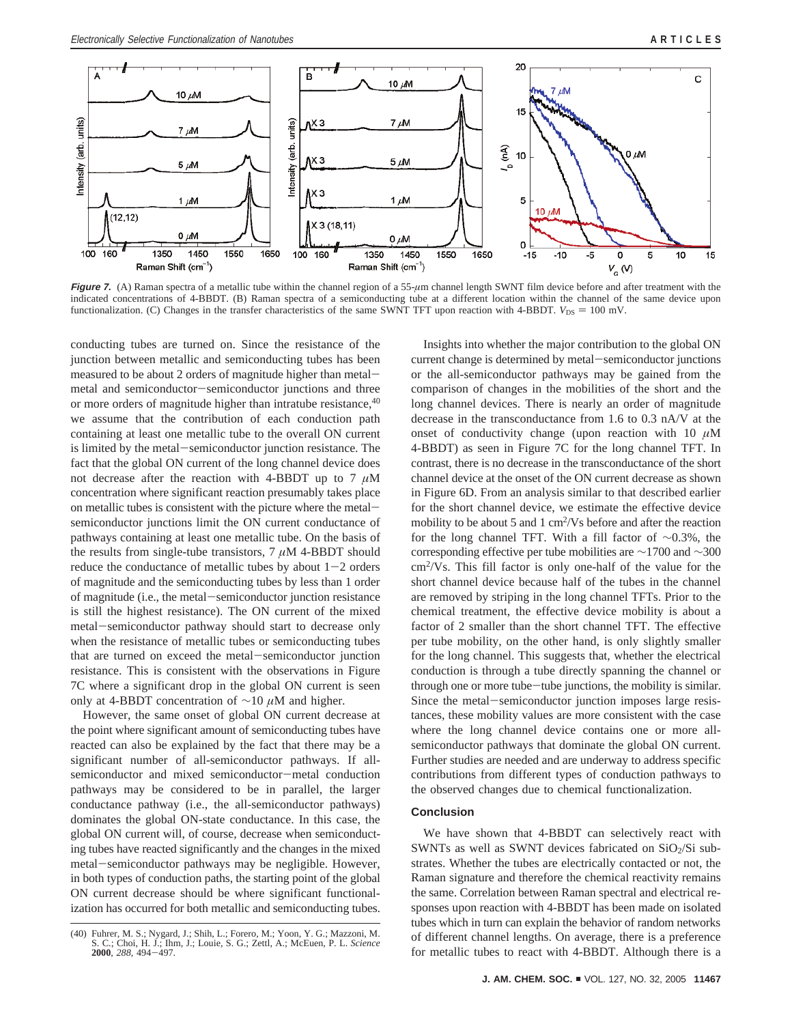

**Figure 7.** (A) Raman spectra of a metallic tube within the channel region of a 55-*µ*m channel length SWNT film device before and after treatment with the indicated concentrations of 4-BBDT. (B) Raman spectra of a semiconducting tube at a different location within the channel of the same device upon functionalization. (C) Changes in the transfer characteristics of the same SWNT TFT upon reaction with 4-BBDT.  $V_{DS} = 100$  mV.

conducting tubes are turned on. Since the resistance of the junction between metallic and semiconducting tubes has been measured to be about 2 orders of magnitude higher than metalmetal and semiconductor-semiconductor junctions and three or more orders of magnitude higher than intratube resistance, 40 we assume that the contribution of each conduction path containing at least one metallic tube to the overall ON current is limited by the metal-semiconductor junction resistance. The fact that the global ON current of the long channel device does not decrease after the reaction with 4-BBDT up to 7  $\mu$ M concentration where significant reaction presumably takes place on metallic tubes is consistent with the picture where the metalsemiconductor junctions limit the ON current conductance of pathways containing at least one metallic tube. On the basis of the results from single-tube transistors,  $7 \mu M$  4-BBDT should reduce the conductance of metallic tubes by about  $1-2$  orders of magnitude and the semiconducting tubes by less than 1 order of magnitude (i.e., the metal-semiconductor junction resistance is still the highest resistance). The ON current of the mixed metal-semiconductor pathway should start to decrease only when the resistance of metallic tubes or semiconducting tubes that are turned on exceed the metal-semiconductor junction resistance. This is consistent with the observations in Figure 7C where a significant drop in the global ON current is seen only at 4-BBDT concentration of ∼10 *µ*M and higher.

However, the same onset of global ON current decrease at the point where significant amount of semiconducting tubes have reacted can also be explained by the fact that there may be a significant number of all-semiconductor pathways. If allsemiconductor and mixed semiconductor-metal conduction pathways may be considered to be in parallel, the larger conductance pathway (i.e., the all-semiconductor pathways) dominates the global ON-state conductance. In this case, the global ON current will, of course, decrease when semiconducting tubes have reacted significantly and the changes in the mixed metal-semiconductor pathways may be negligible. However, in both types of conduction paths, the starting point of the global ON current decrease should be where significant functionalization has occurred for both metallic and semiconducting tubes.

Insights into whether the major contribution to the global ON current change is determined by metal-semiconductor junctions or the all-semiconductor pathways may be gained from the comparison of changes in the mobilities of the short and the long channel devices. There is nearly an order of magnitude decrease in the transconductance from 1.6 to 0.3 nA/V at the onset of conductivity change (upon reaction with 10  $\mu$ M 4-BBDT) as seen in Figure 7C for the long channel TFT. In contrast, there is no decrease in the transconductance of the short channel device at the onset of the ON current decrease as shown in Figure 6D. From an analysis similar to that described earlier for the short channel device, we estimate the effective device mobility to be about 5 and 1 cm<sup>2</sup>/Vs before and after the reaction for the long channel TFT. With a fill factor of ∼0.3%, the corresponding effective per tube mobilities are ∼1700 and ∼300 cm2/Vs. This fill factor is only one-half of the value for the short channel device because half of the tubes in the channel are removed by striping in the long channel TFTs. Prior to the chemical treatment, the effective device mobility is about a factor of 2 smaller than the short channel TFT. The effective per tube mobility, on the other hand, is only slightly smaller for the long channel. This suggests that, whether the electrical conduction is through a tube directly spanning the channel or through one or more tube-tube junctions, the mobility is similar. Since the metal-semiconductor junction imposes large resistances, these mobility values are more consistent with the case where the long channel device contains one or more allsemiconductor pathways that dominate the global ON current. Further studies are needed and are underway to address specific contributions from different types of conduction pathways to the observed changes due to chemical functionalization.

## **Conclusion**

We have shown that 4-BBDT can selectively react with SWNTs as well as SWNT devices fabricated on  $SiO<sub>2</sub>/Si$  substrates. Whether the tubes are electrically contacted or not, the Raman signature and therefore the chemical reactivity remains the same. Correlation between Raman spectral and electrical responses upon reaction with 4-BBDT has been made on isolated tubes which in turn can explain the behavior of random networks of different channel lengths. On average, there is a preference for metallic tubes to react with 4-BBDT. Although there is a

<sup>(40)</sup> Fuhrer, M. S.; Nygard, J.; Shih, L.; Forero, M.; Yoon, Y. G.; Mazzoni, M. S. C.; Choi, H. J.; Ihm, J.; Louie, S. G.; Zettl, A.; McEuen, P. L. *Science* **<sup>2000</sup>**, *<sup>288</sup>*, 494-497.